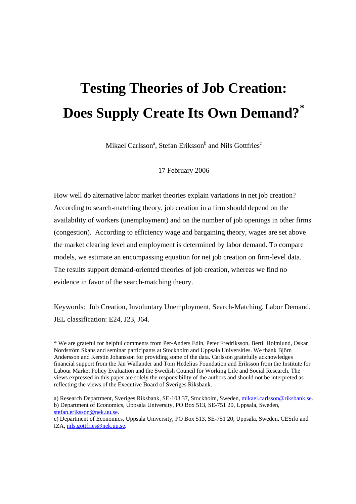# **Testing Theories of Job Creation: Does Supply Create Its Own Demand?\***

Mikael Carlsson<sup>a</sup>, Stefan Eriksson<sup>b</sup> and Nils Gottfries<sup>c</sup>

17 February 2006

How well do alternative labor market theories explain variations in net job creation? According to search-matching theory, job creation in a firm should depend on the availability of workers (unemployment) and on the number of job openings in other firms (congestion). According to efficiency wage and bargaining theory, wages are set above the market clearing level and employment is determined by labor demand. To compare models, we estimate an encompassing equation for net job creation on firm-level data. The results support demand-oriented theories of job creation, whereas we find no evidence in favor of the search-matching theory.

Keywords: Job Creation, Involuntary Unemployment, Search-Matching, Labor Demand. JEL classification: E24, J23, J64.

\* We are grateful for helpful comments from Per-Anders Edin, Peter Fredriksson, Bertil Holmlund, Oskar Nordström Skans and seminar participants at Stockholm and Uppsala Universities. We thank Björn Andersson and Kerstin Johansson for providing some of the data. Carlsson gratefully acknowledges financial support from the Jan Wallander and Tom Hedelius Foundation and Eriksson from the Institute for Labour Market Policy Evaluation and the Swedish Council for Working Life and Social Research. The views expressed in this paper are solely the responsibility of the authors and should not be interpreted as reflecting the views of the Executive Board of Sveriges Riksbank.

a) Research Department, Sveriges Riksbank, SE-103 37, Stockholm, Sweden, mikael.carlsson@riksbank.se. b) Department of Economics, Uppsala University, PO Box 513, SE-751 20, Uppsala, Sweden, stefan.eriksson@nek.uu.se.

c) Department of Economics, Uppsala University, PO Box 513, SE-751 20, Uppsala, Sweden, CESifo and IZA, nils.gottfries@nek.uu.se.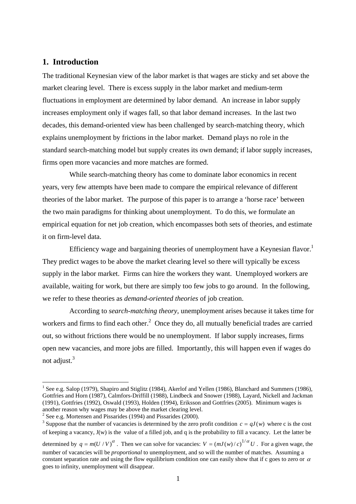# **1. Introduction**

 $\overline{a}$ 

The traditional Keynesian view of the labor market is that wages are sticky and set above the market clearing level. There is excess supply in the labor market and medium-term fluctuations in employment are determined by labor demand. An increase in labor supply increases employment only if wages fall, so that labor demand increases. In the last two decades, this demand-oriented view has been challenged by search-matching theory, which explains unemployment by frictions in the labor market. Demand plays no role in the standard search-matching model but supply creates its own demand; if labor supply increases, firms open more vacancies and more matches are formed.

While search-matching theory has come to dominate labor economics in recent years, very few attempts have been made to compare the empirical relevance of different theories of the labor market. The purpose of this paper is to arrange a 'horse race' between the two main paradigms for thinking about unemployment. To do this, we formulate an empirical equation for net job creation, which encompasses both sets of theories, and estimate it on firm-level data.

Efficiency wage and bargaining theories of unemployment have a Keynesian flavor.<sup>1</sup> They predict wages to be above the market clearing level so there will typically be excess supply in the labor market. Firms can hire the workers they want. Unemployed workers are available, waiting for work, but there are simply too few jobs to go around. In the following, we refer to these theories as *demand-oriented theories* of job creation.

According to *search-matching theory*, unemployment arises because it takes time for workers and firms to find each other.<sup>2</sup> Once they do, all mutually beneficial trades are carried out, so without frictions there would be no unemployment. If labor supply increases, firms open new vacancies, and more jobs are filled. Importantly, this will happen even if wages do not adjust.<sup>3</sup>

<sup>&</sup>lt;sup>1</sup> See e.g. Salop (1979), Shapiro and Stiglitz (1984), Akerlof and Yellen (1986), Blanchard and Summers (1986), Gottfries and Horn (1987), Calmfors-Driffill (1988), Lindbeck and Snower (1988), Layard, Nickell and Jackman (1991), Gottfries (1992), Oswald (1993), Holden (1994), Eriksson and Gottfries (2005). Minimum wages is another reason why wages may be above the market clearing level. 2  $2$  See e.g. Mortensen and Pissarides (1994) and Pissarides (2000).

<sup>&</sup>lt;sup>3</sup> Suppose that the number of vacancies is determined by the zero profit condition  $c = qJ(w)$  where c is the cost of keeping a vacancy, J(w) is the value of a filled job, and q is the probability to fill a vacancy. Let the latter be determined by  $q = m(U/V)^{\alpha}$ . Then we can solve for vacancies:  $V = (mJ(w)/c)^{1/\alpha}U$ . For a given wage, the number of vacancies will be *proportional* to unemployment, and so will the number of matches. Assuming a constant separation rate and using the flow equilibrium condition one can easily show that if c goes to zero or  $\alpha$ goes to infinity, unemployment will disappear.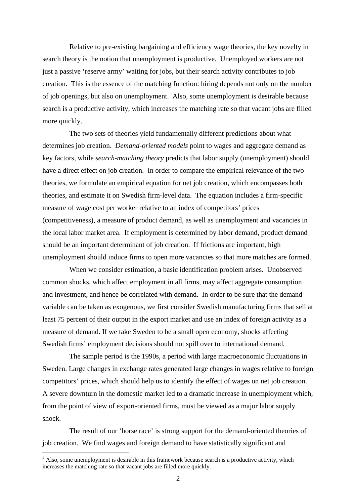Relative to pre-existing bargaining and efficiency wage theories, the key novelty in search theory is the notion that unemployment is productive. Unemployed workers are not just a passive 'reserve army' waiting for jobs, but their search activity contributes to job creation. This is the essence of the matching function: hiring depends not only on the number of job openings, but also on unemployment. Also, some unemployment is desirable because search is a productive activity, which increases the matching rate so that vacant jobs are filled more quickly.

The two sets of theories yield fundamentally different predictions about what determines job creation. *Demand-oriented models* point to wages and aggregate demand as key factors, while *search-matching theory* predicts that labor supply (unemployment) should have a direct effect on job creation. In order to compare the empirical relevance of the two theories, we formulate an empirical equation for net job creation, which encompasses both theories, and estimate it on Swedish firm-level data. The equation includes a firm-specific measure of wage cost per worker relative to an index of competitors' prices (competitiveness), a measure of product demand, as well as unemployment and vacancies in the local labor market area. If employment is determined by labor demand, product demand should be an important determinant of job creation. If frictions are important, high unemployment should induce firms to open more vacancies so that more matches are formed.

When we consider estimation, a basic identification problem arises. Unobserved common shocks, which affect employment in all firms, may affect aggregate consumption and investment, and hence be correlated with demand. In order to be sure that the demand variable can be taken as exogenous, we first consider Swedish manufacturing firms that sell at least 75 percent of their output in the export market and use an index of foreign activity as a measure of demand. If we take Sweden to be a small open economy, shocks affecting Swedish firms' employment decisions should not spill over to international demand.

The sample period is the 1990s, a period with large macroeconomic fluctuations in Sweden. Large changes in exchange rates generated large changes in wages relative to foreign competitors' prices, which should help us to identify the effect of wages on net job creation. A severe downturn in the domestic market led to a dramatic increase in unemployment which, from the point of view of export-oriented firms, must be viewed as a major labor supply shock.

The result of our 'horse race' is strong support for the demand-oriented theories of job creation. We find wages and foreign demand to have statistically significant and

 $\overline{a}$ 

<sup>&</sup>lt;sup>4</sup> Also, some unemployment is desirable in this framework because search is a productive activity, which increases the matching rate so that vacant jobs are filled more quickly.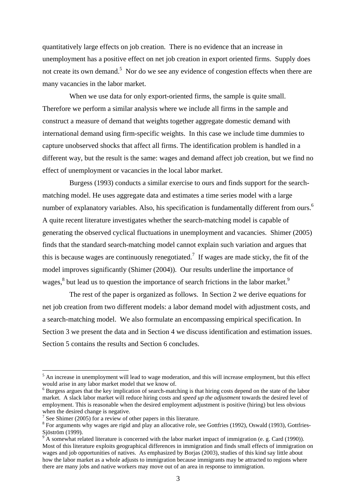quantitatively large effects on job creation. There is no evidence that an increase in unemployment has a positive effect on net job creation in export oriented firms. Supply does not create its own demand.<sup>5</sup> Nor do we see any evidence of congestion effects when there are many vacancies in the labor market.

When we use data for only export-oriented firms, the sample is quite small. Therefore we perform a similar analysis where we include all firms in the sample and construct a measure of demand that weights together aggregate domestic demand with international demand using firm-specific weights. In this case we include time dummies to capture unobserved shocks that affect all firms. The identification problem is handled in a different way, but the result is the same: wages and demand affect job creation, but we find no effect of unemployment or vacancies in the local labor market.

Burgess (1993) conducts a similar exercise to ours and finds support for the searchmatching model. He uses aggregate data and estimates a time series model with a large number of explanatory variables. Also, his specification is fundamentally different from ours.<sup>6</sup> A quite recent literature investigates whether the search-matching model is capable of generating the observed cyclical fluctuations in unemployment and vacancies. Shimer (2005) finds that the standard search-matching model cannot explain such variation and argues that this is because wages are continuously renegotiated.<sup>7</sup> If wages are made sticky, the fit of the model improves significantly (Shimer (2004)). Our results underline the importance of wages, ${}^{8}$  but lead us to question the importance of search frictions in the labor market.<sup>9</sup>

The rest of the paper is organized as follows. In Section 2 we derive equations for net job creation from two different models: a labor demand model with adjustment costs, and a search-matching model. We also formulate an encompassing empirical specification. In Section 3 we present the data and in Section 4 we discuss identification and estimation issues. Section 5 contains the results and Section 6 concludes.

 $\overline{a}$ 

 $<sup>5</sup>$  An increase in unemployment will lead to wage moderation, and this will increase employment, but this effect</sup> would arise in any labor market model that we know of.

<sup>&</sup>lt;sup>6</sup> Burgess argues that the key implication of search-matching is that hiring costs depend on the state of the labor market. A slack labor market will reduce hiring costs and *speed up the adjustment* towards the desired level of employment. This is reasonable when the desired employment adjustment is positive (hiring) but less obvious when the desired change is negative.

 $\frac{7}{1}$  See Shimer (2005) for a review of other papers in this literature.

<sup>&</sup>lt;sup>8</sup> For arguments why wages are rigid and play an allocative role, see Gottfries (1992), Oswald (1993), Gottfries-Siöström (1999).

 $\sigma^9$  A somewhat related literature is concerned with the labor market impact of immigration (e. g. Card (1990)). Most of this literature exploits geographical differences in immigration and finds small effects of immigration on wages and job opportunities of natives. As emphasized by Borjas (2003), studies of this kind say little about how the labor market as a whole adjusts to immigration because immigrants may be attracted to regions where there are many jobs and native workers may move out of an area in response to immigration.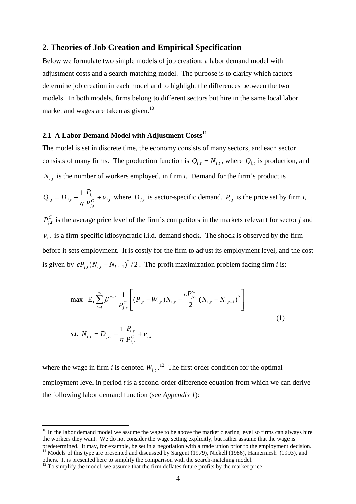# **2. Theories of Job Creation and Empirical Specification**

Below we formulate two simple models of job creation: a labor demand model with adjustment costs and a search-matching model. The purpose is to clarify which factors determine job creation in each model and to highlight the differences between the two models. In both models, firms belong to different sectors but hire in the same local labor market and wages are taken as given.<sup>10</sup>

## **2.1 A Labor Demand Model with Adjustment Costs<sup>11</sup>**

The model is set in discrete time, the economy consists of many sectors, and each sector consists of many firms. The production function is  $Q_{i,t} = N_{i,t}$ , where  $Q_{i,t}$  is production, and  $N_{i,t}$  is the number of workers employed, in firm *i*. Demand for the firm's product is

$$
Q_{i,t} = D_{j,t} - \frac{1}{\eta} \frac{P_{i,t}}{P_{j,t}} + v_{i,t}
$$
 where  $D_{j,t}$  is sector-specific demand,  $P_{i,t}$  is the price set by firm *i*,

 $P_{j,t}^C$  is the average price level of the firm's competitors in the markets relevant for sector *j* and  $v_{i,t}$  is a firm-specific idiosyncratic i.i.d. demand shock. The shock is observed by the firm before it sets employment. It is costly for the firm to adjust its employment level, and the cost is given by  $cP_{j,t}(N_{i,t} - N_{i,t-1})^2/2$ . The profit maximization problem facing firm *i* is:

$$
\max \mathbf{E}_{t} \sum_{\tau=t}^{\infty} \beta^{\tau-t} \frac{1}{P_{j,\tau}^{C}} \left[ (P_{i,\tau} - W_{i,\tau}) N_{i,\tau} - \frac{c P_{j,\tau}^{C}}{2} (N_{i,\tau} - N_{i,\tau-1})^{2} \right]
$$
  
*s.t.*  $N_{i,\tau} = D_{j,\tau} - \frac{1}{\eta} \frac{P_{i,\tau}}{P_{j,\tau}^{C}} + v_{i,\tau}$  (1)

where the wage in firm *i* is denoted  $W_{i,t}$ .<sup>12</sup> The first order condition for the optimal employment level in period *t* is a second-order difference equation from which we can derive the following labor demand function (see *Appendix 1*):

others. It is presented here to simplify the comparison with the search-matching model.<br><sup>12</sup> To simplify the model, we assume that the firm deflates future profits by the market price.

 $\overline{a}$ 

<sup>&</sup>lt;sup>10</sup> In the labor demand model we assume the wage to be above the market clearing level so firms can always hire the workers they want. We do not consider the wage setting explicitly, but rather assume that the wage is predetermined. It may, for example, be set in a negotiation with a trade union prior to the employment decision.<br><sup>11</sup> Models of this type are presented and discussed by Sargent (1979), Nickell (1986), Hamermesh (1993), and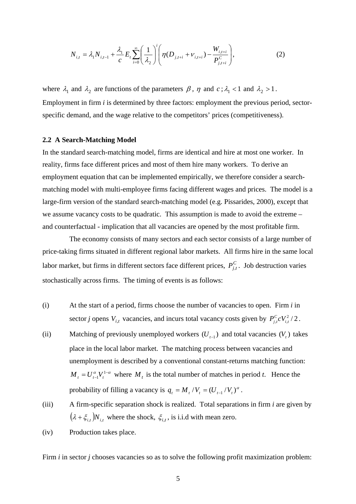$$
N_{i,t} = \lambda_1 N_{i,t-1} + \frac{\lambda_1}{c} E_t \sum_{i=0}^{\infty} \left( \frac{1}{\lambda_2} \right)^i \left( \eta(D_{j,t+i} + \nu_{i,t+i}) - \frac{W_{i,t+i}}{P_{j,t+i}^C} \right),
$$
 (2)

where  $\lambda_1$  and  $\lambda_2$  are functions of the parameters  $\beta$ ,  $\eta$  and  $c$ ;  $\lambda_1$  < 1 and  $\lambda_2$  > 1. Employment in firm *i* is determined by three factors: employment the previous period, sectorspecific demand, and the wage relative to the competitors' prices (competitiveness).

#### **2.2 A Search-Matching Model**

In the standard search-matching model, firms are identical and hire at most one worker. In reality, firms face different prices and most of them hire many workers. To derive an employment equation that can be implemented empirically, we therefore consider a searchmatching model with multi-employee firms facing different wages and prices. The model is a large-firm version of the standard search-matching model (e.g. Pissarides, 2000), except that we assume vacancy costs to be quadratic. This assumption is made to avoid the extreme – and counterfactual - implication that all vacancies are opened by the most profitable firm.

The economy consists of many sectors and each sector consists of a large number of price-taking firms situated in different regional labor markets. All firms hire in the same local labor market, but firms in different sectors face different prices,  $P_{j,t}^C$ . Job destruction varies stochastically across firms. The timing of events is as follows:

- (i) At the start of a period, firms choose the number of vacancies to open. Firm *i* in sector *j* opens  $V_{i,t}$  vacancies, and incurs total vacancy costs given by  $P_{i,t}^C CV_{i,t}^2/2$ .
- (ii) Matching of previously unemployed workers  $(U_{t-1})$  and total vacancies  $(V_t)$  takes place in the local labor market. The matching process between vacancies and unemployment is described by a conventional constant-returns matching function:  $M_t = U_{t-1}^{\alpha} V_t^{1-\alpha}$  where  $M_t$  is the total number of matches in period *t*. Hence the probability of filling a vacancy is  $q_t = M_t / V_t = (U_{t-1} / V_t)^{\alpha}$ .
- (iii) A firm-specific separation shock is realized. Total separations in firm *i* are given by  $(\lambda + \xi_{i,t})N_{i,t}$  where the shock,  $\xi_{i,t}$ , is i.i.d with mean zero.
- (iv) Production takes place.

Firm *i* in sector *j* chooses vacancies so as to solve the following profit maximization problem: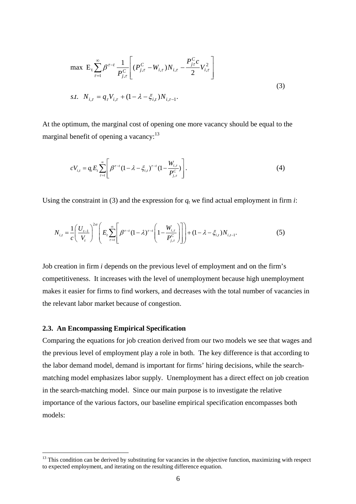$$
\max \mathbf{E}_{t} \sum_{\tau=t}^{\infty} \beta^{\tau-t} \frac{1}{P_{j,\tau}^{C}} \left[ (P_{j,\tau}^{C} - W_{i,\tau}) N_{i,\tau} - \frac{P_{j\tau}^{C} C}{2} V_{i,\tau}^{2} \right]
$$
  
s.t.  $N_{i,\tau} = q_{\tau} V_{i,\tau} + (1 - \lambda - \xi_{i,t}) N_{i,\tau-1}.$  (3)

At the optimum, the marginal cost of opening one more vacancy should be equal to the marginal benefit of opening a vacancy: $13$ 

$$
cV_{i,t} = q_t E_t \sum_{\tau=t}^{\infty} \left[ \beta^{\tau-t} (1 - \lambda - \xi_{i,t})^{\tau-t} (1 - \frac{W_{i,\tau}}{P_{j,\tau}^C}) \right].
$$
 (4)

Using the constraint in (3) and the expression for  $q_t$  we find actual employment in firm *i*:

$$
N_{i,t} = \frac{1}{c} \left( \frac{U_{t-1}}{V_t} \right)^{2\alpha} \left( E_t \sum_{\tau=t}^{\infty} \left[ \beta^{\tau-t} (1-\lambda)^{\tau-t} \left( 1 - \frac{W_{i,\tau}}{P_{j,\tau}^C} \right) \right] \right) + (1-\lambda - \xi_{i,t}) N_{i,t-1}.
$$
 (5)

Job creation in firm *i* depends on the previous level of employment and on the firm's competitiveness. It increases with the level of unemployment because high unemployment makes it easier for firms to find workers, and decreases with the total number of vacancies in the relevant labor market because of congestion.

#### **2.3. An Encompassing Empirical Specification**

Comparing the equations for job creation derived from our two models we see that wages and the previous level of employment play a role in both. The key difference is that according to the labor demand model, demand is important for firms' hiring decisions, while the searchmatching model emphasizes labor supply. Unemployment has a direct effect on job creation in the search-matching model. Since our main purpose is to investigate the relative importance of the various factors, our baseline empirical specification encompasses both models:

 $13$  This condition can be derived by substituting for vacancies in the objective function, maximizing with respect to expected employment, and iterating on the resulting difference equation.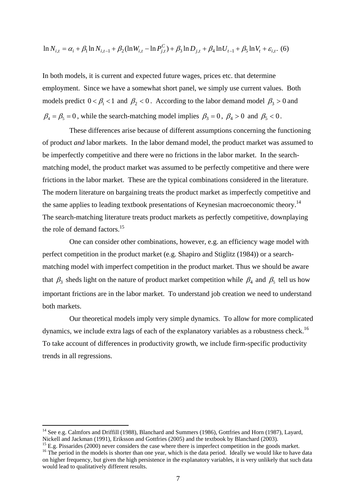$$
\ln N_{i,t} = \alpha_i + \beta_1 \ln N_{i,t-1} + \beta_2 (\ln W_{i,t} - \ln P_{j,t}^C) + \beta_3 \ln D_{j,t} + \beta_4 \ln U_{t-1} + \beta_5 \ln V_t + \varepsilon_{i,t}.
$$
 (6)

In both models, it is current and expected future wages, prices etc. that determine employment. Since we have a somewhat short panel, we simply use current values. Both models predict  $0 < \beta_1 < 1$  and  $\beta_2 < 0$ . According to the labor demand model  $\beta_3 > 0$  and  $\beta_4 = \beta_5 = 0$ , while the search-matching model implies  $\beta_3 = 0$ ,  $\beta_4 > 0$  and  $\beta_5 < 0$ .

These differences arise because of different assumptions concerning the functioning of product *and* labor markets. In the labor demand model, the product market was assumed to be imperfectly competitive and there were no frictions in the labor market. In the searchmatching model, the product market was assumed to be perfectly competitive and there were frictions in the labor market. These are the typical combinations considered in the literature. The modern literature on bargaining treats the product market as imperfectly competitive and the same applies to leading textbook presentations of Keynesian macroeconomic theory.<sup>14</sup> The search-matching literature treats product markets as perfectly competitive, downplaying the role of demand factors. $15$ 

One can consider other combinations, however, e.g. an efficiency wage model with perfect competition in the product market (e.g. Shapiro and Stiglitz (1984)) or a searchmatching model with imperfect competition in the product market. Thus we should be aware that  $\beta_3$  sheds light on the nature of product market competition while  $\beta_4$  and  $\beta_5$  tell us how important frictions are in the labor market. To understand job creation we need to understand both markets.

Our theoretical models imply very simple dynamics. To allow for more complicated dynamics, we include extra lags of each of the explanatory variables as a robustness check.<sup>16</sup> To take account of differences in productivity growth, we include firm-specific productivity trends in all regressions.

<sup>&</sup>lt;sup>14</sup> See e.g. Calmfors and Driffill (1988), Blanchard and Summers (1986), Gottfries and Horn (1987), Layard, Nickell and Jackman (1991), Eriksson and Gottfries (2005) and the textbook by Blanchard (2003).

<sup>&</sup>lt;sup>15</sup> E.g. Pissarides (2000) never considers the case where there is imperfect competition in the goods market.<br><sup>16</sup> The period in the models is shorter than one year, which is the data period. Ideally we would like to hav on higher frequency, but given the high persistence in the explanatory variables, it is very unlikely that such data would lead to qualitatively different results.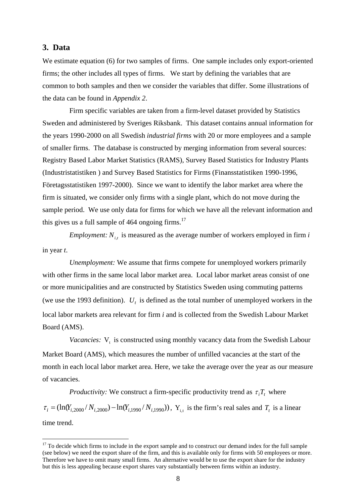# **3. Data**

We estimate equation (6) for two samples of firms. One sample includes only export-oriented firms; the other includes all types of firms. We start by defining the variables that are common to both samples and then we consider the variables that differ. Some illustrations of the data can be found in *Appendix 2*.

Firm specific variables are taken from a firm-level dataset provided by Statistics Sweden and administered by Sveriges Riksbank. This dataset contains annual information for the years 1990-2000 on all Swedish *industrial firms* with 20 or more employees and a sample of smaller firms. The database is constructed by merging information from several sources: Registry Based Labor Market Statistics (RAMS), Survey Based Statistics for Industry Plants (Industristatistiken ) and Survey Based Statistics for Firms (Finansstatistiken 1990-1996, Företagsstatistiken 1997-2000). Since we want to identify the labor market area where the firm is situated, we consider only firms with a single plant, which do not move during the sample period. We use only data for firms for which we have all the relevant information and this gives us a full sample of  $464$  ongoing firms.<sup>17</sup>

*Employment:*  $N_{i,t}$  is measured as the average number of workers employed in firm *i* in year *t*.

*Unemployment:* We assume that firms compete for unemployed workers primarily with other firms in the same local labor market area. Local labor market areas consist of one or more municipalities and are constructed by Statistics Sweden using commuting patterns (we use the 1993 definition).  $U_t$  is defined as the total number of unemployed workers in the local labor markets area relevant for firm *i* and is collected from the Swedish Labour Market Board (AMS).

Vacancies: V<sub>t</sub> is constructed using monthly vacancy data from the Swedish Labour Market Board (AMS), which measures the number of unfilled vacancies at the start of the month in each local labor market area. Here, we take the average over the year as our measure of vacancies.

*Productivity:* We construct a firm-specific productivity trend as  $\tau_i T_t$  where  $\tau_i = (\ln(Y_{i,2000} / N_{i,2000}) - \ln(Y_{i,1990} / N_{i,1990}))$ ,  $Y_{i,t}$  is the firm's real sales and  $T_t$  is a linear time trend.

<sup>&</sup>lt;sup>17</sup> To decide which firms to include in the export sample and to construct our demand index for the full sample (see below) we need the export share of the firm, and this is available only for firms with 50 employees or more. Therefore we have to omit many small firms. An alternative would be to use the export share for the industry but this is less appealing because export shares vary substantially between firms within an industry.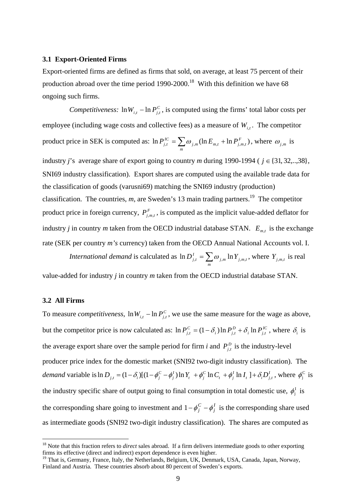#### **3.1 Export-Oriented Firms**

Export-oriented firms are defined as firms that sold, on average, at least 75 percent of their production abroad over the time period 1990-2000.<sup>18</sup> With this definition we have 68 ongoing such firms.

*Competitiveness:*  $\ln W_{i,t} - \ln P_{j,t}^C$ , is computed using the firms' total labor costs per employee (including wage costs and collective fees) as a measure of  $W_{i,t}$ . The competitor product price in SEK is computed as:  $\ln P_{j,t}^{IC} = \sum \omega_{j,m} (\ln E_{m,t} + \ln P_{j,m,t}^{F})$  $m, t$  <sup> $\top$  III *I*  $j, m, t$ </sup> *m*  $P_{j,t}^{IC} = \sum \omega_{j,m} (\ln E_{m,t} + \ln P_{j,m,t}^{F})$ , where  $\omega_{j,m}$  is industry *j*'s average share of export going to country *m* during 1990-1994 ( $j \in \{31, 32, \ldots, 38\}$ , SNI69 industry classification). Export shares are computed using the available trade data for the classification of goods (varusni69) matching the SNI69 industry (production) classification. The countries, *m*, are Sweden's 13 main trading partners. 19 The competitor product price in foreign currency,  $P_{j,m,t}^F$ , is computed as the implicit value-added deflator for industry *j* in country *m* taken from the OECD industrial database STAN.  $E_{m,t}$  is the exchange rate (SEK per country *m's* currency) taken from the OECD Annual National Accounts vol. I.

*International demand* is calculated as  $\ln D_{j,t}^I = \sum \omega_{j,m} \ln Y_{j,m,t}$ *m*  $\ln D_{j,t}^I = \sum \omega_{j,m} \ln Y_{j,m,t}$ , where  $Y_{j,m,t}$  is real

value-added for industry *j* in country *m* taken from the OECD industrial database STAN.

#### **3.2 All Firms**

 $\overline{a}$ 

To measure *competitiveness*,  $\ln W_{i,t} - \ln P_{j,t}^C$ , we use the same measure for the wage as above, but the competitor price is now calculated as:  $\ln P_{i}^C = (1 - \delta_i) \ln P_{i}^D + \delta_i \ln P_{i}^C$ , where  $i^{111}$   $j^{t}$ *D*  $\ln P_{j,t}^C = (1 - \delta_i) \ln P_{j,t}^D + \delta_i \ln P_{j,t}^C$ , where  $\delta_i$  is the average export share over the sample period for firm *i* and  $P_{j,t}^D$  is the industry-level producer price index for the domestic market (SNI92 two-digit industry classification). The *demand* variable is ln  $D_{j,t} = (1 - \delta_i)[(1 - \phi_j^C - \phi_j^I)\ln Y_t + \phi_j^C \ln C_t + \phi_j^I \ln I_t] + \delta_i D_{j,t}^I$ , where  $\phi_j^C$  is the industry specific share of output going to final consumption in total domestic use,  $\phi_i^I$  is the corresponding share going to investment and  $1-\phi_i^C - \phi_i^I$  is the corresponding share used as intermediate goods (SNI92 two-digit industry classification). The shares are computed as  $1-\phi_j^C-\phi_j^D$ 

<sup>&</sup>lt;sup>18</sup> Note that this fraction refers to *direct* sales abroad. If a firm delivers intermediate goods to other exporting firms its effective (direct and indirect) export dependence is even higher.

<sup>&</sup>lt;sup>19</sup> That is, Germany, France, Italy, the Netherlands, Belgium, UK, Denmark, USA, Canada, Japan, Norway, Finland and Austria. These countries absorb about 80 percent of Sweden's exports.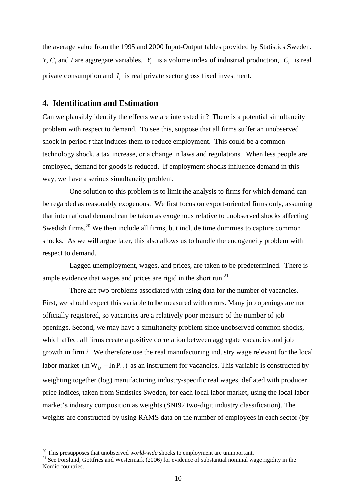the average value from the 1995 and 2000 Input-Output tables provided by Statistics Sweden. *Y*, *C*, and *I* are aggregate variables.  $Y_t$  is a volume index of industrial production,  $C_t$  is real private consumption and  $I_t$  is real private sector gross fixed investment.

## **4. Identification and Estimation**

Can we plausibly identify the effects we are interested in? There is a potential simultaneity problem with respect to demand. To see this, suppose that all firms suffer an unobserved shock in period *t* that induces them to reduce employment. This could be a common technology shock, a tax increase, or a change in laws and regulations. When less people are employed, demand for goods is reduced. If employment shocks influence demand in this way, we have a serious simultaneity problem.

One solution to this problem is to limit the analysis to firms for which demand can be regarded as reasonably exogenous. We first focus on export-oriented firms only, assuming that international demand can be taken as exogenous relative to unobserved shocks affecting Swedish firms.<sup>20</sup> We then include all firms, but include time dummies to capture common shocks. As we will argue later, this also allows us to handle the endogeneity problem with respect to demand.

Lagged unemployment, wages, and prices, are taken to be predetermined. There is ample evidence that wages and prices are rigid in the short run.<sup>21</sup>

There are two problems associated with using data for the number of vacancies. First, we should expect this variable to be measured with errors. Many job openings are not officially registered, so vacancies are a relatively poor measure of the number of job openings. Second, we may have a simultaneity problem since unobserved common shocks, which affect all firms create a positive correlation between aggregate vacancies and job growth in firm *i*. We therefore use the real manufacturing industry wage relevant for the local labor market (ln W<sub> j,t</sub> − ln P<sub>j,t</sub>) as an instrument for vacancies. This variable is constructed by weighting together (log) manufacturing industry-specific real wages, deflated with producer price indices, taken from Statistics Sweden, for each local labor market, using the local labor market's industry composition as weights (SNI92 two-digit industry classification). The weights are constructed by using RAMS data on the number of employees in each sector (by

<sup>&</sup>lt;sup>20</sup> This presupposes that unobserved *world-wide* shocks to employment are unimportant.<br><sup>21</sup> See Forslund, Gottfries and Westermark (2006) for evidence of substantial nominal wage rigidity in the Nordic countries.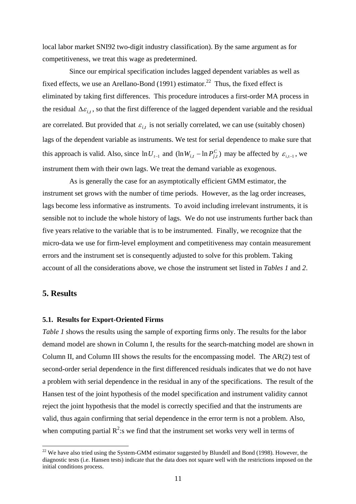local labor market SNI92 two-digit industry classification). By the same argument as for competitiveness, we treat this wage as predetermined.

Since our empirical specification includes lagged dependent variables as well as fixed effects, we use an Arellano-Bond (1991) estimator.<sup>22</sup> Thus, the fixed effect is eliminated by taking first differences. This procedure introduces a first-order MA process in the residual  $\Delta \varepsilon_{i,t}$ , so that the first difference of the lagged dependent variable and the residual are correlated. But provided that  $\varepsilon_{i,t}$  is not serially correlated, we can use (suitably chosen) lags of the dependent variable as instruments. We test for serial dependence to make sure that this approach is valid. Also, since  $\ln U_{t-1}$  and  $(\ln W_{i,t} - \ln P_{j,t}^C)$  may be affected by  $\varepsilon_{i,t-1}$ , we instrument them with their own lags. We treat the demand variable as exogenous.

As is generally the case for an asymptotically efficient GMM estimator, the instrument set grows with the number of time periods. However, as the lag order increases, lags become less informative as instruments. To avoid including irrelevant instruments, it is sensible not to include the whole history of lags. We do not use instruments further back than five years relative to the variable that is to be instrumented. Finally, we recognize that the micro-data we use for firm-level employment and competitiveness may contain measurement errors and the instrument set is consequently adjusted to solve for this problem. Taking account of all the considerations above, we chose the instrument set listed in *Tables 1* and *2*.

## **5. Results**

#### **5.1. Results for Export-Oriented Firms**

*Table 1* shows the results using the sample of exporting firms only. The results for the labor demand model are shown in Column I, the results for the search-matching model are shown in Column II, and Column III shows the results for the encompassing model. The AR(2) test of second-order serial dependence in the first differenced residuals indicates that we do not have a problem with serial dependence in the residual in any of the specifications. The result of the Hansen test of the joint hypothesis of the model specification and instrument validity cannot reject the joint hypothesis that the model is correctly specified and that the instruments are valid, thus again confirming that serial dependence in the error term is not a problem. Also, when computing partial  $R^2$ :s we find that the instrument set works very well in terms of

<sup>&</sup>lt;sup>22</sup> We have also tried using the System-GMM estimator suggested by Blundell and Bond (1998). However, the diagnostic tests (i.e. Hansen tests) indicate that the data does not square well with the restrictions imposed on the initial conditions process.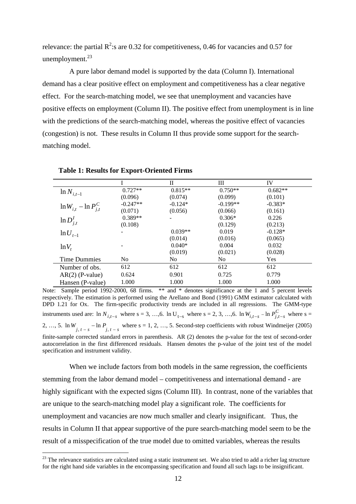relevance: the partial  $R^2$ :s are 0.32 for competitiveness, 0.46 for vacancies and 0.57 for unemployment. $^{23}$ 

A pure labor demand model is supported by the data (Column I). International demand has a clear positive effect on employment and competitiveness has a clear negative effect. For the search-matching model, we see that unemployment and vacancies have positive effects on employment (Column II). The positive effect from unemployment is in line with the predictions of the search-matching model, whereas the positive effect of vacancies (congestion) is not. These results in Column II thus provide some support for the searchmatching model.

|                               |                | П              | Ш              | IV        |  |
|-------------------------------|----------------|----------------|----------------|-----------|--|
| $\ln N_{i,t-1}$               | $0.727**$      | $0.815**$      | $0.750**$      | $0.682**$ |  |
|                               | (0.096)        | (0.074)        | (0.099)        | (0.101)   |  |
| $\ln W_{i,t} - \ln P_{i,t}^C$ | $-0.247**$     | $-0.124*$      | $-0.199**$     | $-0.383*$ |  |
|                               | (0.071)        | (0.056)        | (0.066)        | (0.161)   |  |
| $\ln D^I_{j,t}$               | $0.389**$      |                | $0.306*$       | 0.226     |  |
|                               | (0.108)        |                | (0.129)        | (0.213)   |  |
| $\ln U_{t-1}$                 |                | $0.039**$      | 0.019          | $-0.128*$ |  |
|                               |                | (0.014)        | (0.016)        | (0.065)   |  |
| $ln V_t$                      |                | $0.040*$       | 0.004          | 0.032     |  |
|                               |                | (0.019)        | (0.021)        | (0.028)   |  |
| <b>Time Dummies</b>           | N <sub>0</sub> | N <sub>0</sub> | N <sub>0</sub> | Yes       |  |
| Number of obs.                | 612            | 612            | 612            | 612       |  |
| $AR(2)$ (P-value)             | 0.624          | 0.901          | 0.725          | 0.779     |  |
| Hansen (P-value)              | 1.000          | 1.000          | 1.000          | 1.000     |  |

**Table 1: Results for Export-Oriented Firms** 

Note: Sample period 1992-2000, 68 firms. \*\* and \* denotes significance at the 1 and 5 percent levels respectively. The estimation is performed using the Arellano and Bond (1991) GMM estimator calculated with DPD 1.21 for Ox. The firm-specific productivity trends are included in all regressions. The GMM-type instruments used are:  $\ln N_{i,t-s}$  where  $s = 3, ..., 6$ .  $\ln U_{t-s}$  where  $s = 2, 3, ..., 6$ .  $\ln W_{i,t-s}$  –  $\ln P_{j,t-s}^C$  where  $s = 3, ..., 6$ . 2, …, 5.  $\ln W$   $j, t - s$   $\ln P$   $j, t - s$  where  $s = 1, 2, ..., 5$ . Second-step coefficients with robust Windmeijer (2005) finite-sample corrected standard errors in parenthesis. AR (2) denotes the p-value for the test of second-order autocorrelation in the first differenced residuals. Hansen denotes the p-value of the joint test of the model specification and instrument validity.

When we include factors from both models in the same regression, the coefficients stemming from the labor demand model – competitiveness and international demand - are highly significant with the expected signs (Column III). In contrast, none of the variables that are unique to the search-matching model play a significant role. The coefficients for unemployment and vacancies are now much smaller and clearly insignificant. Thus, the results in Column II that appear supportive of the pure search-matching model seem to be the result of a misspecification of the true model due to omitted variables, whereas the results

 $23$  The relevance statistics are calculated using a static instrument set. We also tried to add a richer lag structure for the right hand side variables in the encompassing specification and found all such lags to be insignificant.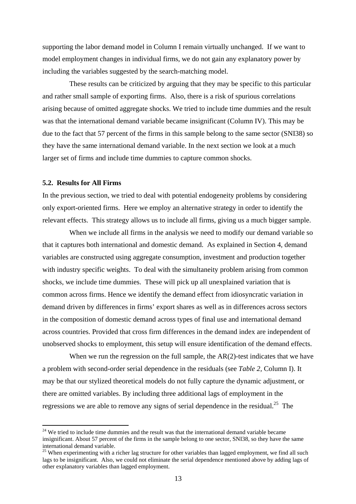supporting the labor demand model in Column I remain virtually unchanged. If we want to model employment changes in individual firms, we do not gain any explanatory power by including the variables suggested by the search-matching model.

These results can be criticized by arguing that they may be specific to this particular and rather small sample of exporting firms. Also, there is a risk of spurious correlations arising because of omitted aggregate shocks. We tried to include time dummies and the result was that the international demand variable became insignificant (Column IV). This may be due to the fact that 57 percent of the firms in this sample belong to the same sector (SNI38) so they have the same international demand variable. In the next section we look at a much larger set of firms and include time dummies to capture common shocks.

#### **5.2. Results for All Firms**

In the previous section, we tried to deal with potential endogeneity problems by considering only export-oriented firms. Here we employ an alternative strategy in order to identify the relevant effects. This strategy allows us to include all firms, giving us a much bigger sample.

When we include all firms in the analysis we need to modify our demand variable so that it captures both international and domestic demand. As explained in Section 4, demand variables are constructed using aggregate consumption, investment and production together with industry specific weights. To deal with the simultaneity problem arising from common shocks, we include time dummies. These will pick up all unexplained variation that is common across firms. Hence we identify the demand effect from idiosyncratic variation in demand driven by differences in firms' export shares as well as in differences across sectors in the composition of domestic demand across types of final use and international demand across countries. Provided that cross firm differences in the demand index are independent of unobserved shocks to employment, this setup will ensure identification of the demand effects.

When we run the regression on the full sample, the AR(2)-test indicates that we have a problem with second-order serial dependence in the residuals (see *Table 2,* Column I). It may be that our stylized theoretical models do not fully capture the dynamic adjustment, or there are omitted variables. By including three additional lags of employment in the regressions we are able to remove any signs of serial dependence in the residual.<sup>25</sup> The

<sup>&</sup>lt;sup>24</sup> We tried to include time dummies and the result was that the international demand variable became insignificant. About 57 percent of the firms in the sample belong to one sector, SNI38, so they have the same international demand variable.<br><sup>25</sup> When experimenting with a richer lag structure for other variables than lagged employment, we find all such

lags to be insignificant. Also, we could not eliminate the serial dependence mentioned above by adding lags of other explanatory variables than lagged employment.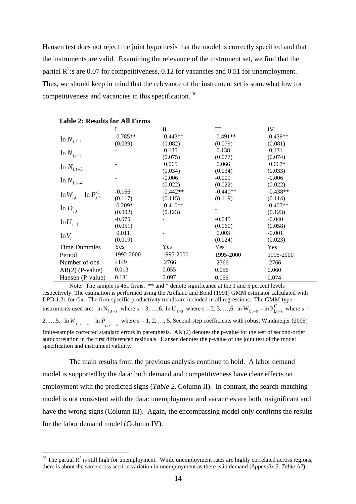Hansen test does not reject the joint hypothesis that the model is correctly specified and that the instruments are valid. Examining the relevance of the instrument set, we find that the partial  $\mathbb{R}^2$ :s are 0.07 for competitiveness, 0.12 for vacancies and 0.51 for unemployment. Thus, we should keep in mind that the relevance of the instrument set is somewhat low for competitiveness and vacancies in this specification.<sup>26</sup>

| 1 apre 2. Results for the Fifths |           |              |            |            |
|----------------------------------|-----------|--------------|------------|------------|
|                                  |           | $\mathbf{I}$ | Ш          | IV         |
| $\ln N_{i,t-1}$                  | $0.785**$ | $0.443**$    | $0.491**$  | $0.439**$  |
|                                  | (0.039)   | (0.082)      | (0.079)    | (0.081)    |
| $\ln N_{i,t-2}$                  |           | 0.135        | 0.138      | 0.131      |
|                                  |           | (0.075)      | (0.077)    | (0.074)    |
| $\ln N_{i,t-3}$                  |           | 0.065        | 0.066      | $0.067*$   |
|                                  |           | (0.034)      | (0.034)    | (0.033)    |
| $\ln N_{i,t-4}$                  |           | $-0.006$     | $-0.009$   | $-0.006$   |
|                                  |           | (0.022)      | (0.022)    | (0.022)    |
| $\ln W_{i,t} - \ln P_{i,t}^C$    | $-0.166$  | $-0.442**$   | $-0.440**$ | $-0.438**$ |
|                                  | (0.117)   | (0.115)      | (0.119)    | (0.114)    |
| $\ln D_{j,t}$                    | $0.209*$  | $0.410**$    |            | $0.407**$  |
|                                  | (0.092)   | (0.123)      |            | (0.123)    |
|                                  | $-0.075$  |              | $-0.045$   | $-0.040$   |
| $\ln U_{t-1}$                    | (0.051)   |              | (0.060)    | (0.058)    |
| $ln V_t$                         | 0.011     |              | 0.003      | $-0.001$   |
|                                  | (0.019)   |              | (0.024)    | (0.023)    |
| <b>Time Dummies</b>              | Yes       | Yes          | <b>Yes</b> | Yes        |
| Period                           | 1992-2000 | 1995-2000    | 1995-2000  | 1995-2000  |
| Number of obs.                   | 4149      | 2766         | 2766       | 2766       |
| $AR(2)$ (P-value)                | 0.013     | 0.055        | 0.056      | 0.060      |
| Hansen (P-value)                 | 0.131     | 0.097        | 0.056      | 0.074      |

**Table 2: Results for All Firms** 

Note: The sample is 461 firms. \*\* and \* denote significance at the 1 and 5 percent levels respectively. The estimation is performed using the Arellano and Bond (1991) GMM estimator calculated with DPD 1.21 for Ox. The firm-specific productivity trends are included in all regressions. The GMM-type instruments used are:  $\ln N_{i,t-s}$  where  $s = 3, ..., 6$ .  $\ln U_{t-s}$  where  $s = 2, 3, ..., 6$ .  $\ln W_{i,t-s}$  –  $\ln P_{j,t-s}^C$  where  $s = 1, ..., 6$ . 2, …,5. In  $W_{j,t-s}$  – In  $P_{j,t-s}$  where s = 1, 2, …, 5. Second-step coefficients with robust Windmeijer (2005) finite-sample corrected standard errors in parenthesis. AR (2) denotes the p-value for the test of second-order autocorrelation in the first differenced residuals. Hansen denotes the p-value of the joint test of the model specification and instrument validity.

The main results from the previous analysis continue to hold. A labor demand model is supported by the data: both demand and competitiveness have clear effects on employment with the predicted signs (*Table 2,* Column II). In contrast, the search-matching model is not consistent with the data: unemployment and vacancies are both insignificant and have the wrong signs (Column III). Again, the encompassing model only confirms the results for the labor demand model (Column IV).

<sup>&</sup>lt;sup>26</sup> The partial  $R^2$  is still high for unemployment. While unemployment rates are highly correlated across regions, there is about the same cross section variation in unemployment as there is in demand (*Appendix 2, Table A2*).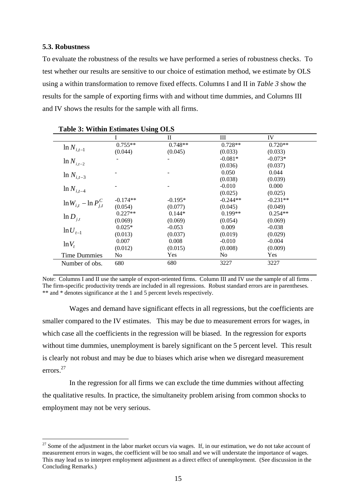#### **5.3. Robustness**

To evaluate the robustness of the results we have performed a series of robustness checks. To test whether our results are sensitive to our choice of estimation method, we estimate by OLS using a within transformation to remove fixed effects. Columns I and II in *Table 3* show the results for the sample of exporting firms with and without time dummies, and Columns III and IV shows the results for the sample with all firms.

|                               |                | П          | Ш          | IV         |
|-------------------------------|----------------|------------|------------|------------|
| $\ln N_{i,t-1}$               | $0.755**$      | $0.748**$  | $0.728**$  | $0.720**$  |
|                               | (0.044)        | (0.045)    | (0.033)    | (0.033)    |
|                               |                |            | $-0.081*$  | $-0.073*$  |
| $\ln N_{i,t-2}$               |                |            | (0.036)    | (0.037)    |
| $\ln N_{i,t-3}$               |                |            | 0.050      | 0.044      |
|                               |                |            | (0.038)    | (0.039)    |
| $\ln N_{i,t-4}$               |                |            | $-0.010$   | 0.000      |
|                               |                |            | (0.025)    | (0.025)    |
| $\ln W_{i,t} - \ln P_{i,t}^C$ | $-0.174**$     | $-0.195*$  | $-0.244**$ | $-0.231**$ |
|                               | (0.054)        | (0.077)    | (0.045)    | (0.049)    |
| $\ln D_{j,t}$                 | $0.227**$      | $0.144*$   | $0.199**$  | $0.254**$  |
|                               | (0.069)        | (0.069)    | (0.054)    | (0.069)    |
| $\ln U_{t-1}$                 | $0.025*$       | $-0.053$   | 0.009      | $-0.038$   |
|                               | (0.013)        | (0.037)    | (0.019)    | (0.029)    |
| $ln V_t$                      | 0.007          | 0.008      | $-0.010$   | $-0.004$   |
|                               | (0.012)        | (0.015)    | (0.008)    | (0.009)    |
| <b>Time Dummies</b>           | N <sub>0</sub> | <b>Yes</b> | No         | <b>Yes</b> |
| Number of obs.                | 680            | 680        | 3227       | 3227       |
|                               |                |            |            |            |

Note: Columns I and II use the sample of export-oriented firms. Column III and IV use the sample of all firms. The firm-specific productivity trends are included in all regressions. Robust standard errors are in parentheses. \*\* and \* denotes significance at the 1 and 5 percent levels respectively.

Wages and demand have significant effects in all regressions, but the coefficients are smaller compared to the IV estimates. This may be due to measurement errors for wages, in which case all the coefficients in the regression will be biased. In the regression for exports without time dummies, unemployment is barely significant on the 5 percent level. This result is clearly not robust and may be due to biases which arise when we disregard measurement errors.27

In the regression for all firms we can exclude the time dummies without affecting the qualitative results. In practice, the simultaneity problem arising from common shocks to employment may not be very serious.

 $27$  Some of the adjustment in the labor market occurs via wages. If, in our estimation, we do not take account of measurement errors in wages, the coefficient will be too small and we will understate the importance of wages. This may lead us to interpret employment adjustment as a direct effect of unemployment. (See discussion in the Concluding Remarks.)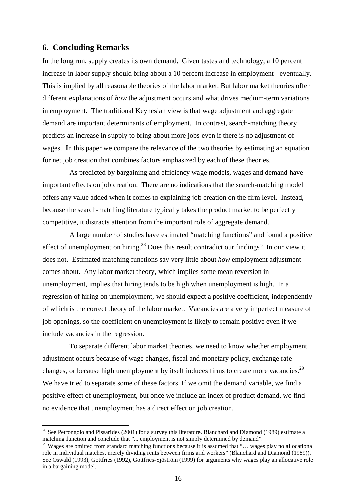## **6. Concluding Remarks**

In the long run, supply creates its own demand. Given tastes and technology, a 10 percent increase in labor supply should bring about a 10 percent increase in employment - eventually. This is implied by all reasonable theories of the labor market. But labor market theories offer different explanations of *how* the adjustment occurs and what drives medium-term variations in employment. The traditional Keynesian view is that wage adjustment and aggregate demand are important determinants of employment. In contrast, search-matching theory predicts an increase in supply to bring about more jobs even if there is no adjustment of wages. In this paper we compare the relevance of the two theories by estimating an equation for net job creation that combines factors emphasized by each of these theories.

As predicted by bargaining and efficiency wage models, wages and demand have important effects on job creation. There are no indications that the search-matching model offers any value added when it comes to explaining job creation on the firm level. Instead, because the search-matching literature typically takes the product market to be perfectly competitive, it distracts attention from the important role of aggregate demand.

A large number of studies have estimated "matching functions" and found a positive effect of unemployment on hiring.<sup>28</sup> Does this result contradict our findings? In our view it does not. Estimated matching functions say very little about *how* employment adjustment comes about. Any labor market theory, which implies some mean reversion in unemployment, implies that hiring tends to be high when unemployment is high. In a regression of hiring on unemployment, we should expect a positive coefficient, independently of which is the correct theory of the labor market. Vacancies are a very imperfect measure of job openings, so the coefficient on unemployment is likely to remain positive even if we include vacancies in the regression.

To separate different labor market theories, we need to know whether employment adjustment occurs because of wage changes, fiscal and monetary policy, exchange rate changes, or because high unemployment by itself induces firms to create more vacancies.<sup>29</sup> We have tried to separate some of these factors. If we omit the demand variable, we find a positive effect of unemployment, but once we include an index of product demand, we find no evidence that unemployment has a direct effect on job creation.

<sup>&</sup>lt;sup>28</sup> See Petrongolo and Pissarides (2001) for a survey this literature. Blanchard and Diamond (1989) estimate a matching function and conclude that "... employment is not simply determined by demand".

<sup>29</sup> Wages are omitted from standard matching functions because it is assumed that "… wages play no allocational role in individual matches, merely dividing rents between firms and workers" (Blanchard and Diamond (1989)). See Oswald (1993), Gottfries (1992), Gottfries-Sjöström (1999) for arguments why wages play an allocative role in a bargaining model.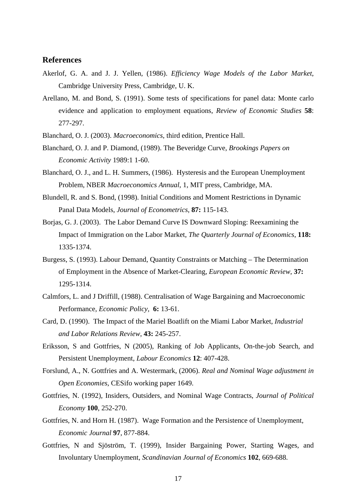## **References**

- Akerlof, G. A. and J. J. Yellen, (1986). *Efficiency Wage Models of the Labor Market*, Cambridge University Press, Cambridge, U. K.
- Arellano, M. and Bond, S. (1991). Some tests of specifications for panel data: Monte carlo evidence and application to employment equations, *Review of Economic Studies* **58**: 277-297.
- Blanchard, O. J. (2003). *Macroeconomics*, third edition, Prentice Hall.
- Blanchard, O. J. and P. Diamond, (1989). The Beveridge Curve, *Brookings Papers on Economic Activity* 1989:1 1-60.
- Blanchard, O. J., and L. H. Summers, (1986). Hysteresis and the European Unemployment Problem, NBER *Macroeconomics Annual*, 1, MIT press, Cambridge, MA.
- Blundell, R. and S. Bond, (1998). Initial Conditions and Moment Restrictions in Dynamic Panal Data Models, *Journal of Econometrics*, **87:** 115-143.
- Borjas, G. J. (2003). The Labor Demand Curve IS Downward Sloping: Reexamining the Impact of Immigration on the Labor Market, *The Quarterly Journal of Economics*, **118:** 1335-1374.
- Burgess, S. (1993). Labour Demand, Quantity Constraints or Matching The Determination of Employment in the Absence of Market-Clearing, *European Economic Review*, **37:**  1295-1314.
- Calmfors, L. and J Driffill, (1988). Centralisation of Wage Bargaining and Macroeconomic Performance, *Economic Policy,* **6:** 13-61.
- Card, D. (1990). The Impact of the Mariel Boatlift on the Miami Labor Market, *Industrial and Labor Relations Review*, **43:** 245-257.
- Eriksson, S and Gottfries, N (2005), Ranking of Job Applicants, On-the-job Search, and Persistent Unemployment, *Labour Economics* **12**: 407-428.
- Forslund, A., N. Gottfries and A. Westermark, (2006). *Real and Nominal Wage adjustment in Open Economies*, CESifo working paper 1649.
- Gottfries, N. (1992), Insiders, Outsiders, and Nominal Wage Contracts, *Journal of Political Economy* **100**, 252-270.
- Gottfries, N. and Horn H. (1987). Wage Formation and the Persistence of Unemployment, *Economic Journal* **97**, 877-884.
- Gottfries, N and Sjöström, T. (1999), Insider Bargaining Power, Starting Wages, and Involuntary Unemployment, *Scandinavian Journal of Economics* **102**, 669-688.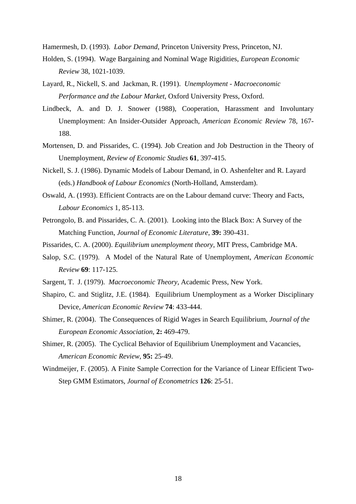Hamermesh, D. (1993). *Labor Demand*, Princeton University Press, Princeton, NJ.

- Holden, S. (1994). Wage Bargaining and Nominal Wage Rigidities, *European Economic Review* 38, 1021-1039.
- Layard, R., Nickell, S. and Jackman, R. (1991). *Unemployment Macroeconomic Performance and the Labour Market*, Oxford University Press, Oxford.
- Lindbeck, A. and D. J. Snower (1988), Cooperation, Harassment and Involuntary Unemployment: An Insider-Outsider Approach, *American Economic Review* 78, 167- 188.
- Mortensen, D. and Pissarides, C. (1994). Job Creation and Job Destruction in the Theory of Unemployment, *Review of Economic Studies* **61**, 397-415.
- Nickell, S. J. (1986). Dynamic Models of Labour Demand, in O. Ashenfelter and R. Layard (eds.) *Handbook of Labour Economics* (North-Holland, Amsterdam).
- Oswald, A. (1993). Efficient Contracts are on the Labour demand curve: Theory and Facts, *Labour Economics* 1, 85-113.
- Petrongolo, B. and Pissarides, C. A. (2001). Looking into the Black Box: A Survey of the Matching Function, *Journal of Economic Literature*, **39:** 390-431.
- Pissarides, C. A. (2000). *Equilibrium unemployment theory*, MIT Press, Cambridge MA.
- Salop, S.C. (1979). A Model of the Natural Rate of Unemployment, *American Economic Review* **69**: 117-125.
- Sargent, T. J. (1979). *Macroeconomic Theory*, Academic Press, New York.
- Shapiro, C. and Stiglitz, J.E. (1984). Equilibrium Unemployment as a Worker Disciplinary Device, *American Economic Review* **74**: 433-444.
- Shimer, R. (2004). The Consequences of Rigid Wages in Search Equilibrium, *Journal of the European Economic Association*, **2:** 469-479.
- Shimer, R. (2005). The Cyclical Behavior of Equilibrium Unemployment and Vacancies, *American Economic Review*, **95:** 25-49.
- Windmeijer, F. (2005). A Finite Sample Correction for the Variance of Linear Efficient Two-Step GMM Estimators, *Journal of Econometrics* **126**: 25-51.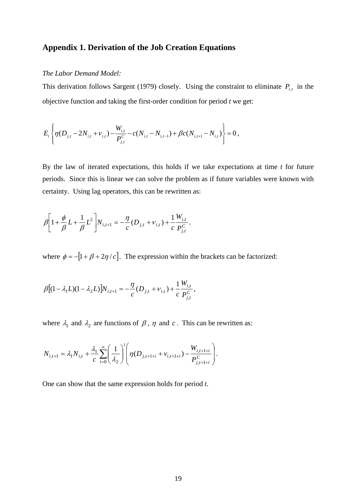# **Appendix 1. Derivation of the Job Creation Equations**

#### *The Labor Demand Model:*

This derivation follows Sargent (1979) closely. Using the constraint to eliminate  $P_{i,\tau}$  in the objective function and taking the first-order condition for period *t* we get:

$$
E_{t}\left\{\eta(D_{j,t}-2N_{i,t}+\nu_{i,t})-\frac{W_{i,t}}{P_{j,t}^{C}}-c(N_{i,t}-N_{i,t-1})+\beta c(N_{i,t+1}-N_{i,t})\right\}=0,
$$

By the law of iterated expectations, this holds if we take expectations at time *t* for future periods. Since this is linear we can solve the problem as if future variables were known with certainty. Using lag operators, this can be rewritten as:

$$
\beta \left[1 + \frac{\phi}{\beta} L + \frac{1}{\beta} L^2 \right] N_{i,t+1} = -\frac{\eta}{c} (D_{j,t} + v_{i,t}) + \frac{1}{c} \frac{W_{i,t}}{P_{j,t}^C}.
$$

where  $\phi = -[1 + \beta + 2\eta/c]$ . The expression within the brackets can be factorized:

$$
\beta \big[ (1 - \lambda_1 L)(1 - \lambda_2 L) \big] N_{i, t+1} = -\frac{\eta}{c} (D_{j, t} + \nu_{i, t}) + \frac{1}{c} \frac{W_{i, t}}{P_{j, t}^C},
$$

where  $\lambda_1$  and  $\lambda_2$  are functions of  $\beta$ ,  $\eta$  and  $c$ . This can be rewritten as:

$$
N_{i,t+1} = \lambda_1 N_{i,t} + \frac{\lambda_1}{c} \sum_{i=0}^{\infty} \left(\frac{1}{\lambda_2}\right)^i \left(\eta(D_{j,t+1+i} + v_{i,t+1+i}) - \frac{W_{i,t+1+i}}{P_{j,t+1+i}^C}\right).
$$

One can show that the same expression holds for period *t*.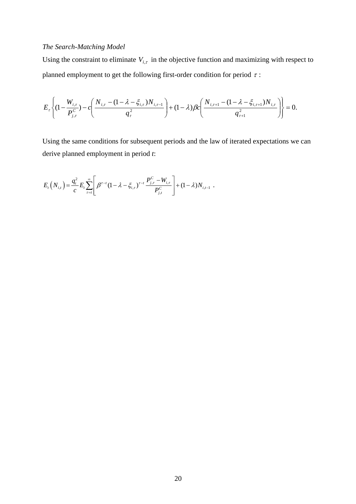# *The Search-Matching Model*

Using the constraint to eliminate  $V_{i,\tau}$  in the objective function and maximizing with respect to planned employment to get the following first-order condition for period  $\tau$ :

$$
E_{\tau}\left\{(1-\frac{W_{i,\tau}}{P_{j,\tau}^{C}})-c\left(\frac{N_{i,\tau}-(1-\lambda-\xi_{i,\tau})N_{i,\tau-1}}{q_{\tau}^{2}}\right)+(1-\lambda)\beta c\left(\frac{N_{i,\tau+1}-(1-\lambda-\xi_{i,\tau+1})N_{i,\tau}}{q_{\tau+1}^{2}}\right)\right\}=0.
$$

Using the same conditions for subsequent periods and the law of iterated expectations we can derive planned employment in period *t*:

$$
E_t\left(N_{i,t}\right) = \frac{q_i^2}{c} E_t \sum_{\tau=t}^{\infty} \left[ \beta^{\tau-t} (1-\lambda-\xi_{i,\tau})^{\tau-t} \frac{P_{j,\tau}^C - W_{i,\tau}}{P_{j,t}^C} \right] + (1-\lambda) N_{i,t-1}.
$$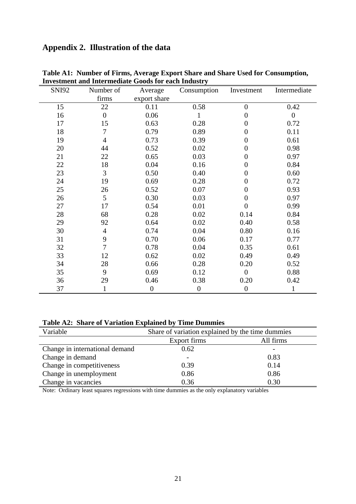# **Appendix 2. Illustration of the data**

| <b>SNI92</b> | Number of      | Average          | Consumption      | Investment       | Intermediate     |
|--------------|----------------|------------------|------------------|------------------|------------------|
|              | firms          | export share     |                  |                  |                  |
| 15           | 22             | 0.11             | 0.58             | $\overline{0}$   | 0.42             |
| 16           | $\overline{0}$ | 0.06             |                  | $\overline{0}$   | $\boldsymbol{0}$ |
| 17           | 15             | 0.63             | 0.28             | $\overline{0}$   | 0.72             |
| 18           | $\overline{7}$ | 0.79             | 0.89             | $\overline{0}$   | 0.11             |
| 19           | $\overline{4}$ | 0.73             | 0.39             | $\overline{0}$   | 0.61             |
| 20           | 44             | 0.52             | 0.02             | $\boldsymbol{0}$ | 0.98             |
| 21           | 22             | 0.65             | 0.03             | $\overline{0}$   | 0.97             |
| 22           | 18             | 0.04             | 0.16             | $\boldsymbol{0}$ | 0.84             |
| 23           | 3              | 0.50             | 0.40             | $\boldsymbol{0}$ | 0.60             |
| 24           | 19             | 0.69             | 0.28             | $\boldsymbol{0}$ | 0.72             |
| 25           | 26             | 0.52             | 0.07             | $\boldsymbol{0}$ | 0.93             |
| 26           | 5              | 0.30             | 0.03             | $\boldsymbol{0}$ | 0.97             |
| 27           | 17             | 0.54             | 0.01             | $\boldsymbol{0}$ | 0.99             |
| 28           | 68             | 0.28             | 0.02             | 0.14             | 0.84             |
| 29           | 92             | 0.64             | 0.02             | 0.40             | 0.58             |
| 30           | $\overline{4}$ | 0.74             | 0.04             | 0.80             | 0.16             |
| 31           | $\mathbf{9}$   | 0.70             | 0.06             | 0.17             | 0.77             |
| 32           | $\overline{7}$ | 0.78             | 0.04             | 0.35             | 0.61             |
| 33           | 12             | 0.62             | 0.02             | 0.49             | 0.49             |
| 34           | 28             | 0.66             | 0.28             | 0.20             | 0.52             |
| 35           | 9              | 0.69             | 0.12             | $\overline{0}$   | 0.88             |
| 36           | 29             | 0.46             | 0.38             | 0.20             | 0.42             |
| 37           |                | $\boldsymbol{0}$ | $\boldsymbol{0}$ | $\boldsymbol{0}$ | 1                |

**Table A1: Number of Firms, Average Export Share and Share Used for Consumption, Investment and Intermediate Goods for each Industry** 

# **Table A2: Share of Variation Explained by Time Dummies**

| Variable                       | Share of variation explained by the time dummies |           |  |
|--------------------------------|--------------------------------------------------|-----------|--|
|                                | Export firms                                     | All firms |  |
| Change in international demand | 0.62                                             |           |  |
| Change in demand               |                                                  | 0.83      |  |
| Change in competitiveness      | 0.39                                             | 0.14      |  |
| Change in unemployment         | 0.86                                             | 0.86      |  |
| Change in vacancies            | 0.36                                             | 0.30      |  |

Note: Ordinary least squares regressions with time dummies as the only explanatory variables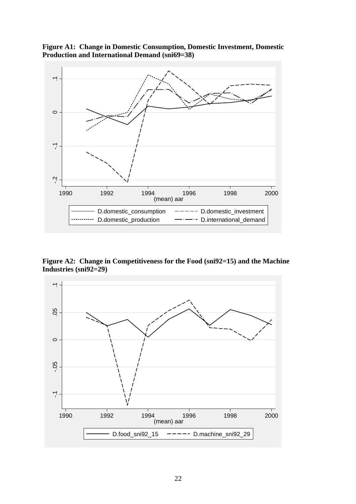



**Figure A2: Change in Competitiveness for the Food (sni92=15) and the Machine Industries (sni92=29)**